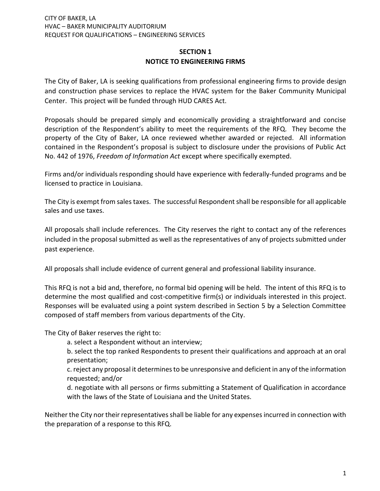## **SECTION 1 NOTICE TO ENGINEERING FIRMS**

The City of Baker, LA is seeking qualifications from professional engineering firms to provide design and construction phase services to replace the HVAC system for the Baker Community Municipal Center. This project will be funded through HUD CARES Act.

Proposals should be prepared simply and economically providing a straightforward and concise description of the Respondent's ability to meet the requirements of the RFQ. They become the property of the City of Baker, LA once reviewed whether awarded or rejected. All information contained in the Respondent's proposal is subject to disclosure under the provisions of Public Act No. 442 of 1976, *Freedom of Information Act* except where specifically exempted.

Firms and/or individuals responding should have experience with federally-funded programs and be licensed to practice in Louisiana.

The City is exempt from sales taxes. The successful Respondent shall be responsible for all applicable sales and use taxes.

All proposals shall include references. The City reserves the right to contact any of the references included in the proposal submitted as well as the representatives of any of projects submitted under past experience.

All proposals shall include evidence of current general and professional liability insurance.

This RFQ is not a bid and, therefore, no formal bid opening will be held. The intent of this RFQ is to determine the most qualified and cost-competitive firm(s) or individuals interested in this project. Responses will be evaluated using a point system described in Section 5 by a Selection Committee composed of staff members from various departments of the City.

The City of Baker reserves the right to:

a. select a Respondent without an interview;

b. select the top ranked Respondents to present their qualifications and approach at an oral presentation;

c. reject any proposal it determines to be unresponsive and deficient in any of the information requested; and/or

d. negotiate with all persons or firms submitting a Statement of Qualification in accordance with the laws of the State of Louisiana and the United States.

Neither the City nor their representatives shall be liable for any expenses incurred in connection with the preparation of a response to this RFQ.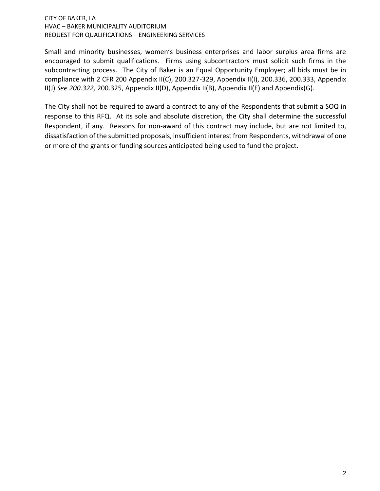Small and minority businesses, women's business enterprises and labor surplus area firms are encouraged to submit qualifications. Firms using subcontractors must solicit such firms in the subcontracting process. The City of Baker is an Equal Opportunity Employer; all bids must be in compliance with 2 CFR 200 Appendix II(C), 200.327-329, Appendix II(I), 200.336, 200.333, Appendix II(J) *See 200.322,* 200.325, Appendix II(D), Appendix II(B), Appendix II(E) and Appendix(G).

The City shall not be required to award a contract to any of the Respondents that submit a SOQ in response to this RFQ. At its sole and absolute discretion, the City shall determine the successful Respondent, if any. Reasons for non-award of this contract may include, but are not limited to, dissatisfaction of the submitted proposals, insufficient interest from Respondents, withdrawal of one or more of the grants or funding sources anticipated being used to fund the project.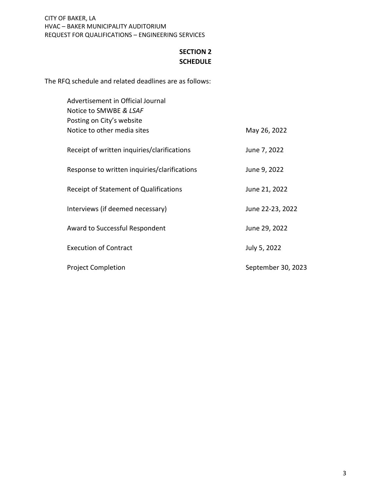# **SECTION 2 SCHEDULE**

The RFQ schedule and related deadlines are as follows:

| Advertisement in Official Journal<br>Notice to SMWBE & LSAF |                    |
|-------------------------------------------------------------|--------------------|
| Posting on City's website                                   |                    |
| Notice to other media sites                                 | May 26, 2022       |
| Receipt of written inquiries/clarifications                 | June 7, 2022       |
| Response to written inquiries/clarifications                | June 9, 2022       |
| Receipt of Statement of Qualifications                      | June 21, 2022      |
| Interviews (if deemed necessary)                            | June 22-23, 2022   |
| Award to Successful Respondent                              | June 29, 2022      |
| <b>Execution of Contract</b>                                | July 5, 2022       |
| <b>Project Completion</b>                                   | September 30, 2023 |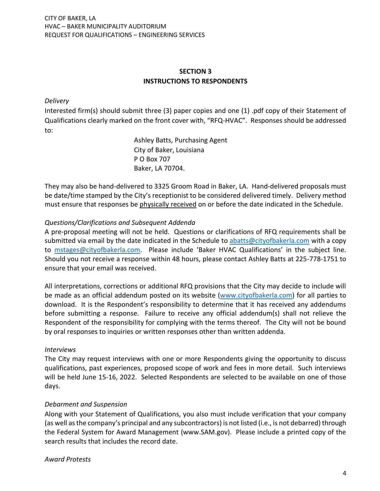# **SECTION 3 INSTRUCTIONS TO RESPONDENTS**

## *Delivery*

Interested firm(s) should submit three (3) paper copies and one (1) .pdf copy of their Statement of Qualifications clearly marked on the front cover with, "RFQ-HVAC". Responses should be addressed to:

> Ashley Batts, Purchasing Agent City of Baker, Louisiana P O Box 707 Baker, LA 70704.

They may also be hand-delivered to 3325 Groom Road in Baker, LA. Hand-delivered proposals must be date/time stamped by the City's receptionist to be considered delivered timely. Delivery method must ensure that responses be physically received on or before the date indicated in the Schedule.

## *Questions/Clarifications and Subsequent Addenda*

A pre-proposal meeting will not be held. Questions or clarifications of RFQ requirements shall be submitted via email by the date indicated in the Schedule to [abatts@cityofbakerla.com](mailto:abatts@cityofbakerla.com) with a copy to [mstages@cityofbakerla.com.](mailto:mstages@cityofbakerla.com) Please include 'Baker HVAC Qualifications' in the subject line. Should you not receive a response within 48 hours, please contact Ashley Batts at 225-778-1751 to ensure that your email was received.

All interpretations, corrections or additional RFQ provisions that the City may decide to include will be made as an official addendum posted on its website [\(www.cityofbakerla.com\)](http://www.cityofbakerla.com/) for all parties to download. It is the Respondent's responsibility to determine that it has received any addendums before submitting a response. Failure to receive any official addendum(s) shall not relieve the Respondent of the responsibility for complying with the terms thereof. The City will not be bound by oral responses to inquiries or written responses other than written addenda.

## *Interviews*

The City may request interviews with one or more Respondents giving the opportunity to discuss qualifications, past experiences, proposed scope of work and fees in more detail. Such interviews will be held June 15-16, 2022. Selected Respondents are selected to be available on one of those days.

## *Debarment and Suspension*

Along with your Statement of Qualifications, you also must include verification that your company (as well as the company's principal and any subcontractors) is not listed (i.e., is not debarred) through the Federal System for Award Management (www.SAM.gov). Please include a printed copy of the search results that includes the record date.

*Award Protests*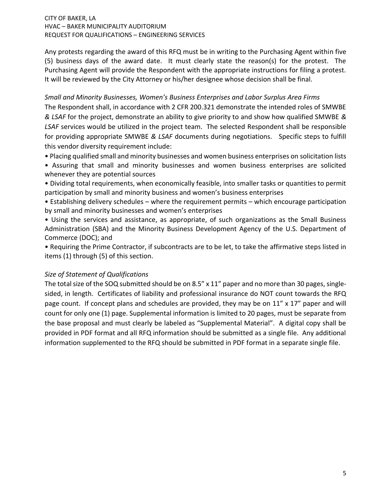Any protests regarding the award of this RFQ must be in writing to the Purchasing Agent within five (5) business days of the award date. It must clearly state the reason(s) for the protest. The Purchasing Agent will provide the Respondent with the appropriate instructions for filing a protest. It will be reviewed by the City Attorney or his/her designee whose decision shall be final.

## *Small and Minority Businesses, Women's Business Enterprises and Labor Surplus Area Firms*

The Respondent shall, in accordance with 2 CFR 200.321 demonstrate the intended roles of SMWBE *& LSAF* for the project, demonstrate an ability to give priority to and show how qualified SMWBE *& LSAF* services would be utilized in the project team. The selected Respondent shall be responsible for providing appropriate SMWBE *& LSAF* documents during negotiations. Specific steps to fulfill this vendor diversity requirement include:

• Placing qualified small and minority businesses and women business enterprises on solicitation lists

• Assuring that small and minority businesses and women business enterprises are solicited whenever they are potential sources

• Dividing total requirements, when economically feasible, into smaller tasks or quantities to permit participation by small and minority business and women's business enterprises

• Establishing delivery schedules – where the requirement permits – which encourage participation by small and minority businesses and women's enterprises

• Using the services and assistance, as appropriate, of such organizations as the Small Business Administration (SBA) and the Minority Business Development Agency of the U.S. Department of Commerce (DOC); and

• Requiring the Prime Contractor, if subcontracts are to be let, to take the affirmative steps listed in items (1) through (5) of this section.

## *Size of Statement of Qualifications*

The total size of the SOQ submitted should be on 8.5" x 11" paper and no more than 30 pages, singlesided, in length. Certificates of liability and professional insurance do NOT count towards the RFQ page count. If concept plans and schedules are provided, they may be on  $11'' \times 17''$  paper and will count for only one (1) page. Supplemental information is limited to 20 pages, must be separate from the base proposal and must clearly be labeled as "Supplemental Material". A digital copy shall be provided in PDF format and all RFQ information should be submitted as a single file. Any additional information supplemented to the RFQ should be submitted in PDF format in a separate single file.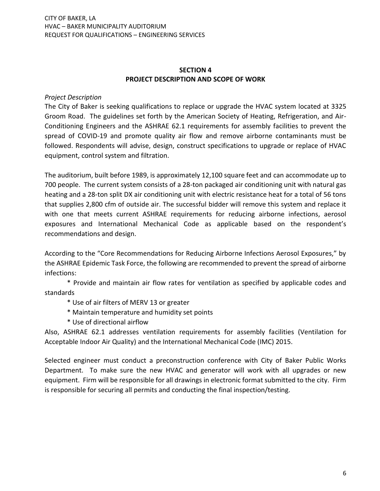## **SECTION 4 PROJECT DESCRIPTION AND SCOPE OF WORK**

## *Project Description*

The City of Baker is seeking qualifications to replace or upgrade the HVAC system located at 3325 Groom Road. The guidelines set forth by the American Society of Heating, Refrigeration, and Air-Conditioning Engineers and the ASHRAE 62.1 requirements for assembly facilities to prevent the spread of COVID-19 and promote quality air flow and remove airborne contaminants must be followed. Respondents will advise, design, construct specifications to upgrade or replace of HVAC equipment, control system and filtration.

The auditorium, built before 1989, is approximately 12,100 square feet and can accommodate up to 700 people. The current system consists of a 28-ton packaged air conditioning unit with natural gas heating and a 28-ton split DX air conditioning unit with electric resistance heat for a total of 56 tons that supplies 2,800 cfm of outside air. The successful bidder will remove this system and replace it with one that meets current ASHRAE requirements for reducing airborne infections, aerosol exposures and International Mechanical Code as applicable based on the respondent's recommendations and design.

According to the "Core Recommendations for Reducing Airborne Infections Aerosol Exposures," by the ASHRAE Epidemic Task Force, the following are recommended to prevent the spread of airborne infections:

\* Provide and maintain air flow rates for ventilation as specified by applicable codes and standards

- \* Use of air filters of MERV 13 or greater
- \* Maintain temperature and humidity set points
- \* Use of directional airflow

Also, ASHRAE 62.1 addresses ventilation requirements for assembly facilities (Ventilation for Acceptable Indoor Air Quality) and the International Mechanical Code (IMC) 2015.

Selected engineer must conduct a preconstruction conference with City of Baker Public Works Department. To make sure the new HVAC and generator will work with all upgrades or new equipment. Firm will be responsible for all drawings in electronic format submitted to the city. Firm is responsible for securing all permits and conducting the final inspection/testing.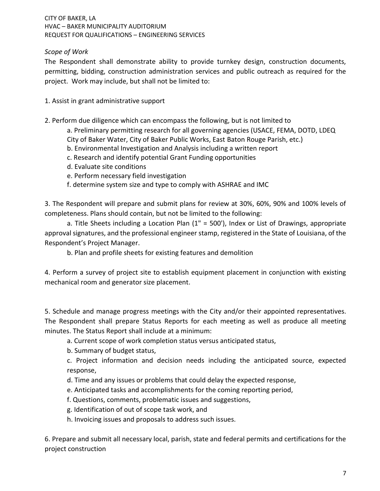## *Scope of Work*

The Respondent shall demonstrate ability to provide turnkey design, construction documents, permitting, bidding, construction administration services and public outreach as required for the project. Work may include, but shall not be limited to:

- 1. Assist in grant administrative support
- 2. Perform due diligence which can encompass the following, but is not limited to
	- a. Preliminary permitting research for all governing agencies (USACE, FEMA, DOTD, LDEQ
	- City of Baker Water, City of Baker Public Works, East Baton Rouge Parish, etc.)
	- b. Environmental Investigation and Analysis including a written report
	- c. Research and identify potential Grant Funding opportunities
	- d. Evaluate site conditions
	- e. Perform necessary field investigation
	- f. determine system size and type to comply with ASHRAE and IMC

3. The Respondent will prepare and submit plans for review at 30%, 60%, 90% and 100% levels of completeness. Plans should contain, but not be limited to the following:

a. Title Sheets including a Location Plan (1" = 500'), Index or List of Drawings, appropriate approval signatures, and the professional engineer stamp, registered in the State of Louisiana, of the Respondent's Project Manager.

b. Plan and profile sheets for existing features and demolition

4. Perform a survey of project site to establish equipment placement in conjunction with existing mechanical room and generator size placement.

5. Schedule and manage progress meetings with the City and/or their appointed representatives. The Respondent shall prepare Status Reports for each meeting as well as produce all meeting minutes. The Status Report shall include at a minimum:

- a. Current scope of work completion status versus anticipated status,
- b. Summary of budget status,

c. Project information and decision needs including the anticipated source, expected response,

- d. Time and any issues or problems that could delay the expected response,
- e. Anticipated tasks and accomplishments for the coming reporting period,
- f. Questions, comments, problematic issues and suggestions,
- g. Identification of out of scope task work, and
- h. Invoicing issues and proposals to address such issues.

6. Prepare and submit all necessary local, parish, state and federal permits and certifications for the project construction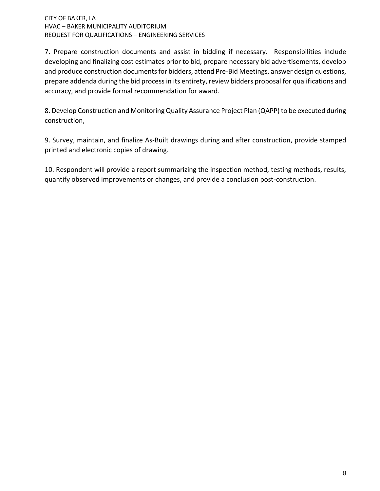7. Prepare construction documents and assist in bidding if necessary. Responsibilities include developing and finalizing cost estimates prior to bid, prepare necessary bid advertisements, develop and produce construction documents for bidders, attend Pre-Bid Meetings, answer design questions, prepare addenda during the bid process in its entirety, review bidders proposal for qualifications and accuracy, and provide formal recommendation for award.

8. Develop Construction and Monitoring Quality Assurance Project Plan (QAPP) to be executed during construction,

9. Survey, maintain, and finalize As-Built drawings during and after construction, provide stamped printed and electronic copies of drawing.

10. Respondent will provide a report summarizing the inspection method, testing methods, results, quantify observed improvements or changes, and provide a conclusion post-construction.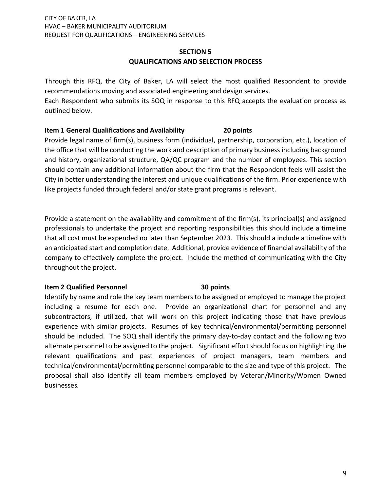## **SECTION 5 QUALIFICATIONS AND SELECTION PROCESS**

Through this RFQ, the City of Baker, LA will select the most qualified Respondent to provide recommendations moving and associated engineering and design services.

Each Respondent who submits its SOQ in response to this RFQ accepts the evaluation process as outlined below.

## **Item 1 General Qualifications and Availability 20 points**

Provide legal name of firm(s), business form (individual, partnership, corporation, etc.), location of the office that will be conducting the work and description of primary business including background and history, organizational structure, QA/QC program and the number of employees. This section should contain any additional information about the firm that the Respondent feels will assist the City in better understanding the interest and unique qualifications of the firm. Prior experience with like projects funded through federal and/or state grant programs is relevant.

Provide a statement on the availability and commitment of the firm(s), its principal(s) and assigned professionals to undertake the project and reporting responsibilities this should include a timeline that all cost must be expended no later than September 2023. This should a include a timeline with an anticipated start and completion date. Additional, provide evidence of financial availability of the company to effectively complete the project. Include the method of communicating with the City throughout the project.

## **Item 2 Qualified Personnel <b>30** points

Identify by name and role the key team members to be assigned or employed to manage the project including a resume for each one. Provide an organizational chart for personnel and any subcontractors, if utilized, that will work on this project indicating those that have previous experience with similar projects. Resumes of key technical/environmental/permitting personnel should be included. The SOQ shall identify the primary day-to-day contact and the following two alternate personnel to be assigned to the project. Significant effort should focus on highlighting the relevant qualifications and past experiences of project managers, team members and technical/environmental/permitting personnel comparable to the size and type of this project. The proposal shall also identify all team members employed by Veteran/Minority/Women Owned businesses*.*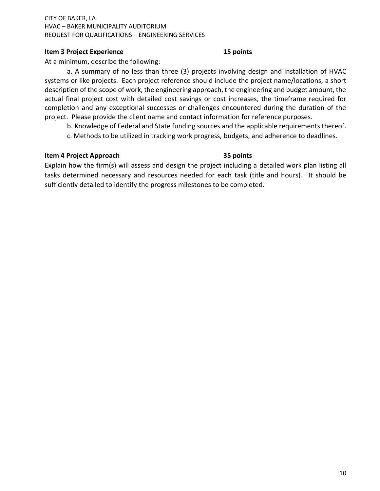## **Item 3 Project Experience 15 points**

At a minimum, describe the following:

a. A summary of no less than three (3) projects involving design and installation of HVAC systems or like projects. Each project reference should include the project name/locations, a short description of the scope of work, the engineering approach, the engineering and budget amount, the actual final project cost with detailed cost savings or cost increases, the timeframe required for completion and any exceptional successes or challenges encountered during the duration of the project. Please provide the client name and contact information for reference purposes.

b. Knowledge of Federal and State funding sources and the applicable requirements thereof.

c. Methods to be utilized in tracking work progress, budgets, and adherence to deadlines.

## **Item 4 Project Approach 35 points**

Explain how the firm(s) will assess and design the project including a detailed work plan listing all tasks determined necessary and resources needed for each task (title and hours). It should be sufficiently detailed to identify the progress milestones to be completed.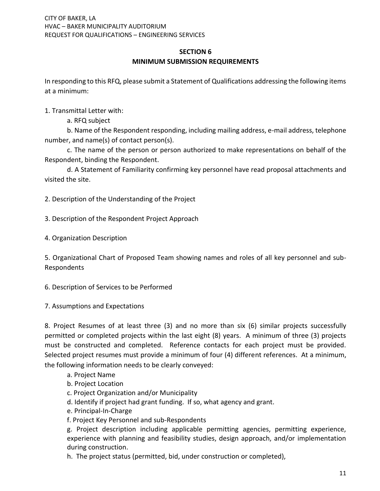## **SECTION 6 MINIMUM SUBMISSION REQUIREMENTS**

In responding to this RFQ, please submit a Statement of Qualifications addressing the following items at a minimum:

1. Transmittal Letter with:

a. RFQ subject

b. Name of the Respondent responding, including mailing address, e-mail address, telephone number, and name(s) of contact person(s).

c. The name of the person or person authorized to make representations on behalf of the Respondent, binding the Respondent.

d. A Statement of Familiarity confirming key personnel have read proposal attachments and visited the site.

2. Description of the Understanding of the Project

3. Description of the Respondent Project Approach

4. Organization Description

5. Organizational Chart of Proposed Team showing names and roles of all key personnel and sub-Respondents

6. Description of Services to be Performed

7. Assumptions and Expectations

8. Project Resumes of at least three (3) and no more than six (6) similar projects successfully permitted or completed projects within the last eight (8) years. A minimum of three (3) projects must be constructed and completed. Reference contacts for each project must be provided. Selected project resumes must provide a minimum of four (4) different references. At a minimum, the following information needs to be clearly conveyed:

- a. Project Name
- b. Project Location
- c. Project Organization and/or Municipality
- d. Identify if project had grant funding. If so, what agency and grant.
- e. Principal-In-Charge
- f. Project Key Personnel and sub-Respondents

g. Project description including applicable permitting agencies, permitting experience, experience with planning and feasibility studies, design approach, and/or implementation during construction.

h. The project status (permitted, bid, under construction or completed),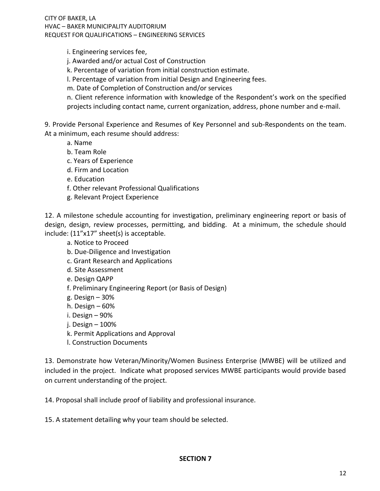i. Engineering services fee,

- j. Awarded and/or actual Cost of Construction
- k. Percentage of variation from initial construction estimate.
- l. Percentage of variation from initial Design and Engineering fees.
- m. Date of Completion of Construction and/or services

n. Client reference information with knowledge of the Respondent's work on the specified projects including contact name, current organization, address, phone number and e-mail.

9. Provide Personal Experience and Resumes of Key Personnel and sub-Respondents on the team. At a minimum, each resume should address:

- a. Name
- b. Team Role
- c. Years of Experience
- d. Firm and Location
- e. Education
- f. Other relevant Professional Qualifications
- g. Relevant Project Experience

12. A milestone schedule accounting for investigation, preliminary engineering report or basis of design, design, review processes, permitting, and bidding. At a minimum, the schedule should include: (11"x17" sheet(s) is acceptable.

- a. Notice to Proceed
- b. Due-Diligence and Investigation
- c. Grant Research and Applications
- d. Site Assessment
- e. Design QAPP
- f. Preliminary Engineering Report (or Basis of Design)
- g. Design 30%
- h. Design 60%
- i. Design 90%
- j. Design 100%
- k. Permit Applications and Approval
- l. Construction Documents

13. Demonstrate how Veteran/Minority/Women Business Enterprise (MWBE) will be utilized and included in the project. Indicate what proposed services MWBE participants would provide based on current understanding of the project.

14. Proposal shall include proof of liability and professional insurance.

15. A statement detailing why your team should be selected.

## **SECTION 7**